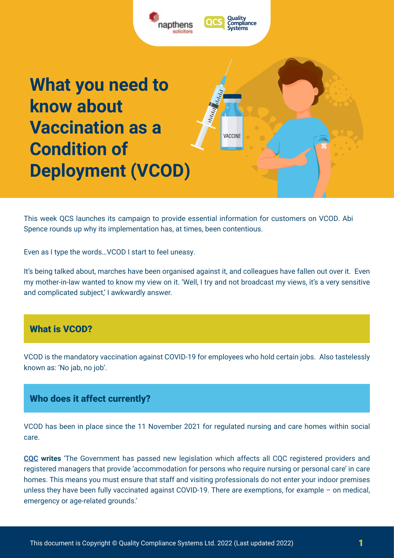

This week QCS launches its campaign to provide essential information for customers on VCOD. Abi Spence rounds up why its implementation has, at times, been contentious.

Even as I type the words…VCOD I start to feel uneasy.

It's being talked about, marches have been organised against it, and colleagues have fallen out over it. Even my mother-in-law wanted to know my view on it. 'Well, I try and not broadcast my views, it's a very sensitive and complicated subject,' I awkwardly answer.

## What is VCOD?

VCOD is the mandatory vaccination against COVID-19 for employees who hold certain jobs. Also tastelessly known as: 'No jab, no job'.

## Who does it affect currently?

VCOD has been in place since the 11 November 2021 for regulated nursing and care homes within social care.

**[CQC](https://www.cqc.org.uk/guidance-providers/registration/care-homes-vaccination-condition-deployment-vcod-registration) writes** 'The Government has passed new legislation which affects all CQC registered providers and registered managers that provide 'accommodation for persons who require nursing or personal care' in care homes. This means you must ensure that staff and visiting professionals do not enter your indoor premises unless they have been fully vaccinated against COVID-19. There are exemptions, for example – on medical, emergency or age-related grounds.'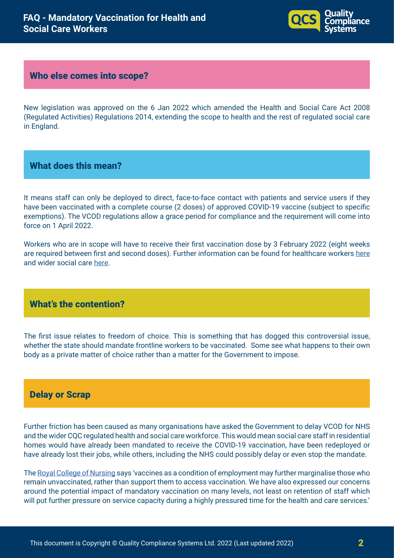

### Who else comes into scope?

New legislation was approved on the 6 Jan 2022 which amended the Health and Social Care Act 2008 (Regulated Activities) Regulations 2014, extending the scope to health and the rest of regulated social care in England.

## What does this mean?

It means staff can only be deployed to direct, face-to-face contact with patients and service users if they have been vaccinated with a complete course (2 doses) of approved COVID-19 vaccine (subject to specific exemptions). The VCOD regulations allow a grace period for compliance and the requirement will come into force on 1 April 2022.

Workers who are in scope will have to receive their first vaccination dose by 3 February 2022 (eight weeks are required between first and second doses). Further information can be found for healthcare workers [here](https://www.england.nhs.uk/coronavirus/wp-content/uploads/sites/52/2022/01/C1545-update-vcod-for-healthcare-workers-phase-2-implementation.pdf) and wider social care [here.](https://www.gov.uk/government/publications/vaccination-of-workers-in-social-care-settings-other-than-care-homes-operational-guidance)

# What's the contention?

The first issue relates to freedom of choice. This is something that has dogged this controversial issue, whether the state should mandate frontline workers to be vaccinated. Some see what happens to their own body as a private matter of choice rather than a matter for the Government to impose.

#### Delay or Scrap

Further friction has been caused as many organisations have asked the Government to delay VCOD for NHS and the wider CQC regulated health and social care workforce. This would mean social care staff in residential homes would have already been mandated to receive the COVID-19 vaccination, have been redeployed or have already lost their jobs, while others, including the NHS could possibly delay or even stop the mandate.

The [Royal College of Nursing](https://www.rcn.org.uk/get-help/rcn-advice/covid-19-and-mandatory-vaccination) says 'vaccines as a condition of employment may further marginalise those who remain unvaccinated, rather than support them to access vaccination. We have also expressed our concerns around the potential impact of mandatory vaccination on many levels, not least on retention of staff which will put further pressure on service capacity during a highly pressured time for the health and care services.'